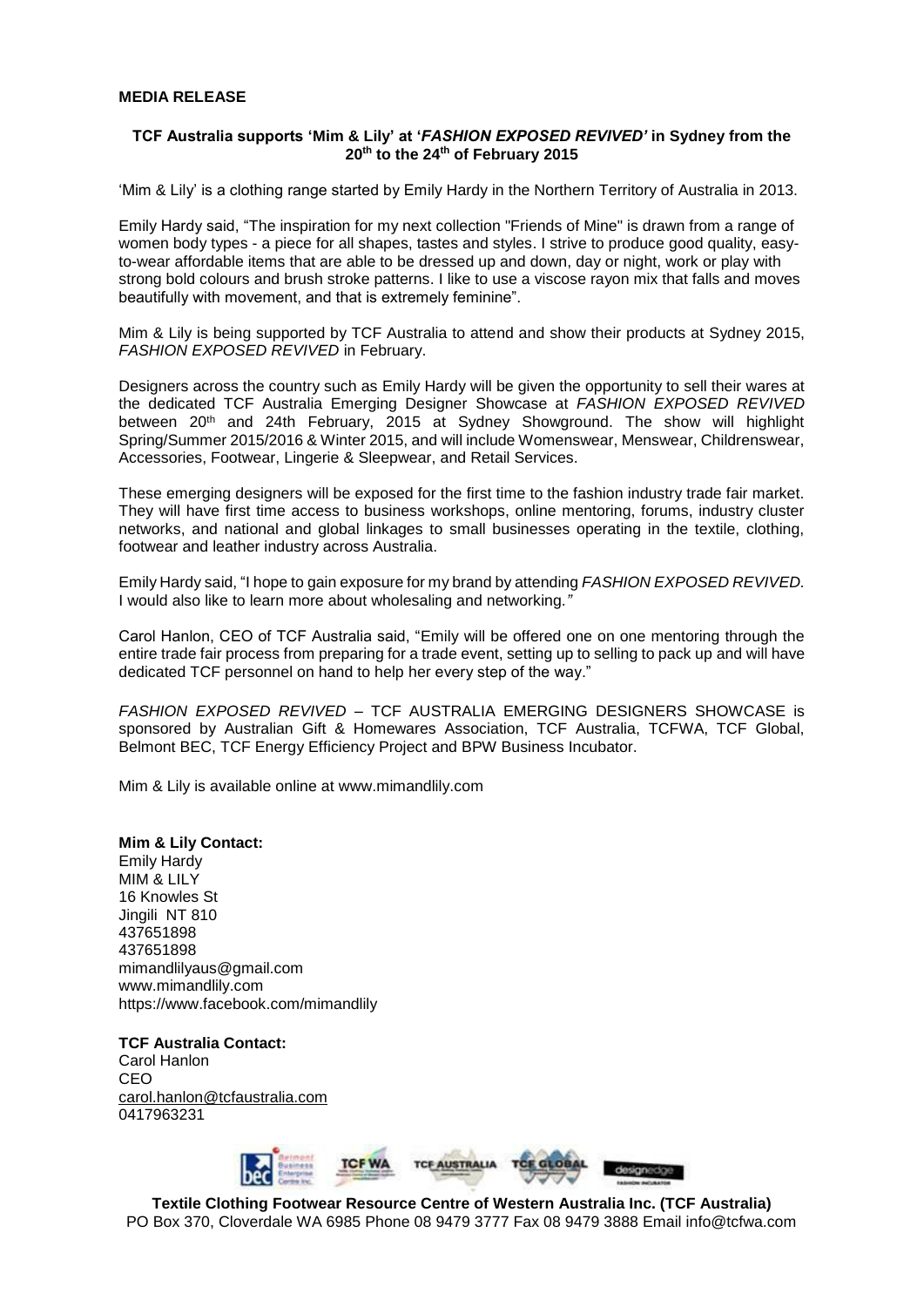## **MEDIA RELEASE**

## **TCF Australia supports 'Mim & Lily' at '***FASHION EXPOSED REVIVED'* **in Sydney from the 20th to the 24th of February 2015**

'Mim & Lily' is a clothing range started by Emily Hardy in the Northern Territory of Australia in 2013.

Emily Hardy said, "The inspiration for my next collection "Friends of Mine" is drawn from a range of women body types - a piece for all shapes, tastes and styles. I strive to produce good quality, easyto-wear affordable items that are able to be dressed up and down, day or night, work or play with strong bold colours and brush stroke patterns. I like to use a viscose rayon mix that falls and moves beautifully with movement, and that is extremely feminine".

Mim & Lily is being supported by TCF Australia to attend and show their products at Sydney 2015, *FASHION EXPOSED REVIVED* in February.

Designers across the country such as Emily Hardy will be given the opportunity to sell their wares at the dedicated TCF Australia Emerging Designer Showcase at *FASHION EXPOSED REVIVED* between 20th and 24th February, 2015 at Sydney Showground. The show will highlight Spring/Summer 2015/2016 & Winter 2015, and will include Womenswear, Menswear, Childrenswear, Accessories, Footwear, Lingerie & Sleepwear, and Retail Services.

These emerging designers will be exposed for the first time to the fashion industry trade fair market. They will have first time access to business workshops, online mentoring, forums, industry cluster networks, and national and global linkages to small businesses operating in the textile, clothing, footwear and leather industry across Australia.

Emily Hardy said, "I hope to gain exposure for my brand by attending *FASHION EXPOSED REVIVED.*  I would also like to learn more about wholesaling and networking.*"*

Carol Hanlon, CEO of TCF Australia said, "Emily will be offered one on one mentoring through the entire trade fair process from preparing for a trade event, setting up to selling to pack up and will have dedicated TCF personnel on hand to help her every step of the way."

*FASHION EXPOSED REVIVED* – TCF AUSTRALIA EMERGING DESIGNERS SHOWCASE is sponsored by Australian Gift & Homewares Association, TCF Australia, TCFWA, TCF Global, Belmont BEC, TCF Energy Efficiency Project and BPW Business Incubator.

Mim & Lily is available online at www.mimandlily.com

## **Mim & Lily Contact:**

Emily Hardy MIM & LILY 16 Knowles St Jingili NT 810 437651898 437651898 mimandlilyaus@gmail.com www.mimandlily.com https://www.facebook.com/mimandlily

**TCF Australia Contact:** Carol Hanlon CEO [carol.hanlon@tcfaustralia.com](mailto:carol.hanlon@tcfaustralia.com) 0417963231



**Textile Clothing Footwear Resource Centre of Western Australia Inc. (TCF Australia)** PO Box 370, Cloverdale WA 6985 Phone 08 9479 3777 Fax 08 9479 3888 Email info@tcfwa.com